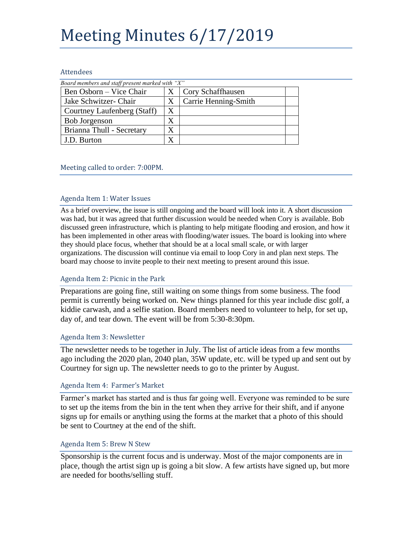# Meeting Minutes 6/17/2019

#### Attendees

| Board members and staff present marked with "X" |   |                      |  |
|-------------------------------------------------|---|----------------------|--|
| Ben Osborn – Vice Chair                         |   | Cory Schaffhausen    |  |
| Jake Schwitzer- Chair                           | Х | Carrie Henning-Smith |  |
| Courtney Laufenberg (Staff)                     | Χ |                      |  |
| Bob Jorgenson                                   | X |                      |  |
| Brianna Thull - Secretary                       |   |                      |  |
| J.D. Burton                                     | X |                      |  |

### Meeting called to order: 7:00PM.

#### Agenda Item 1: Water Issues

As a brief overview, the issue is still ongoing and the board will look into it. A short discussion was had, but it was agreed that further discussion would be needed when Cory is available. Bob discussed green infrastructure, which is planting to help mitigate flooding and erosion, and how it has been implemented in other areas with flooding/water issues. The board is looking into where they should place focus, whether that should be at a local small scale, or with larger organizations. The discussion will continue via email to loop Cory in and plan next steps. The board may choose to invite people to their next meeting to present around this issue.

#### Agenda Item 2: Picnic in the Park

Preparations are going fine, still waiting on some things from some business. The food permit is currently being worked on. New things planned for this year include disc golf, a kiddie carwash, and a selfie station. Board members need to volunteer to help, for set up, day of, and tear down. The event will be from 5:30-8:30pm.

#### Agenda Item 3: Newsletter

The newsletter needs to be together in July. The list of article ideas from a few months ago including the 2020 plan, 2040 plan, 35W update, etc. will be typed up and sent out by Courtney for sign up. The newsletter needs to go to the printer by August.

#### Agenda Item 4: Farmer's Market

Farmer's market has started and is thus far going well. Everyone was reminded to be sure to set up the items from the bin in the tent when they arrive for their shift, and if anyone signs up for emails or anything using the forms at the market that a photo of this should be sent to Courtney at the end of the shift.

#### Agenda Item 5: Brew N Stew

Sponsorship is the current focus and is underway. Most of the major components are in place, though the artist sign up is going a bit slow. A few artists have signed up, but more are needed for booths/selling stuff.